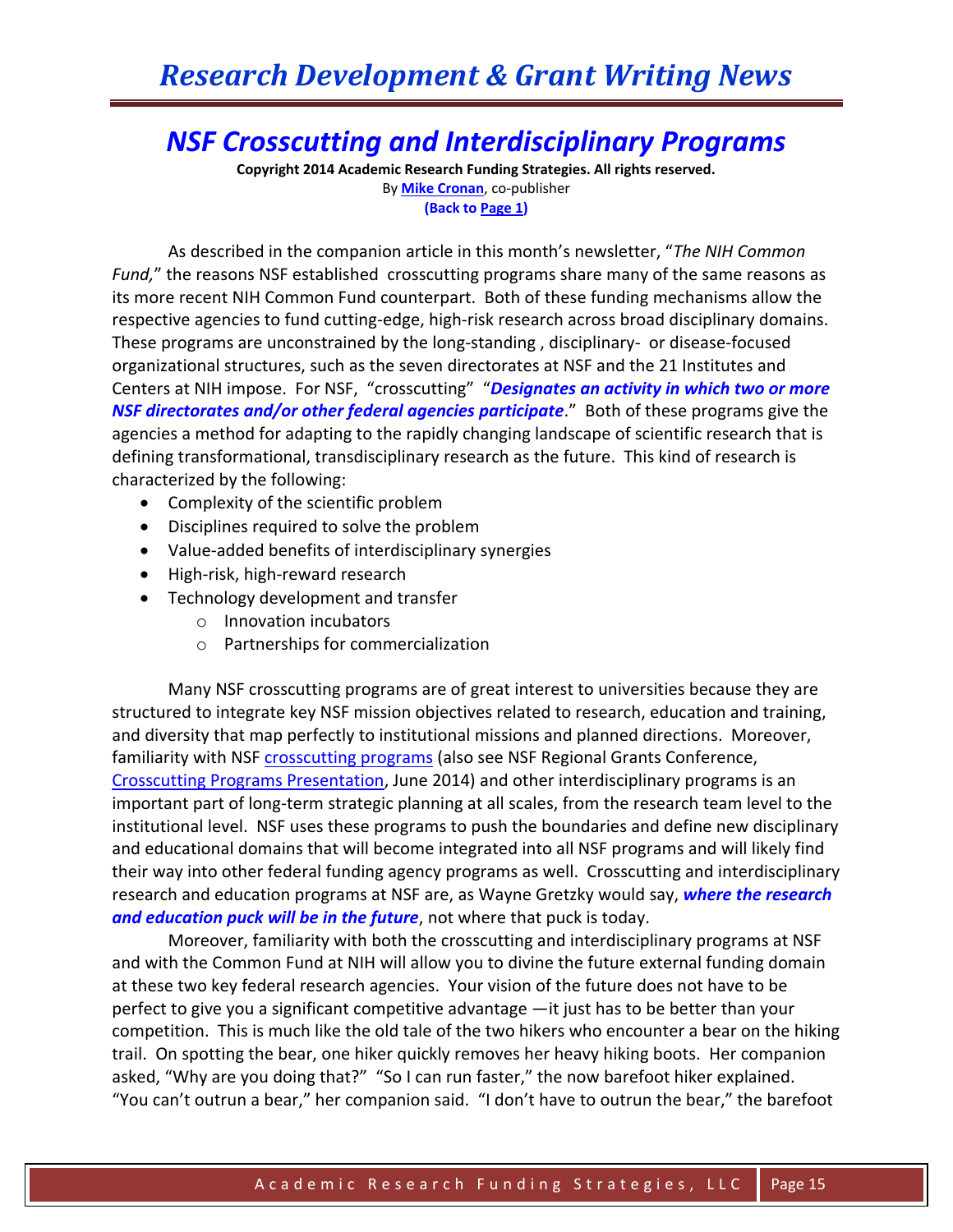# *NSF Crosscutting and Interdisciplinary Programs*

**Copyright 2014 Academic Research Funding Strategies. All rights reserved.** By **[Mike Cronan](mailto:mjcronan@gmail.com)**, co-publisher **(Back to Page 1)**

As described in the companion article in this month's newsletter, "*The NIH Common Fund,*" the reasons NSF established crosscutting programs share many of the same reasons as its more recent NIH Common Fund counterpart. Both of these funding mechanisms allow the respective agencies to fund cutting-edge, high-risk research across broad disciplinary domains. These programs are unconstrained by the long-standing , disciplinary- or disease-focused organizational structures, such as the seven directorates at NSF and the 21 Institutes and Centers at NIH impose. For NSF, "crosscutting" "*Designates an activity in which two or more NSF directorates and/or other federal agencies participate*." Both of these programs give the agencies a method for adapting to the rapidly changing landscape of scientific research that is defining transformational, transdisciplinary research as the future. This kind of research is characterized by the following:

- Complexity of the scientific problem
- Disciplines required to solve the problem
- Value-added benefits of interdisciplinary synergies
- High-risk, high-reward research
- Technology development and transfer
	- o Innovation incubators
	- o Partnerships for commercialization

Many NSF crosscutting programs are of great interest to universities because they are structured to integrate key NSF mission objectives related to research, education and training, and diversity that map perfectly to institutional missions and planned directions. Moreover, familiarity with NSF [crosscutting programs](http://www.nsf.gov/funding/pgm_list.jsp?type=xcut) (also see NSF Regional Grants Conference, [Crosscutting Programs Presentation,](http://www.nsf.gov/bfa/dias/policy/outreach/grantsconf/crosscut_june14.pdf) June 2014) and other interdisciplinary programs is an important part of long-term strategic planning at all scales, from the research team level to the institutional level. NSF uses these programs to push the boundaries and define new disciplinary and educational domains that will become integrated into all NSF programs and will likely find their way into other federal funding agency programs as well. Crosscutting and interdisciplinary research and education programs at NSF are, as Wayne Gretzky would say, *where the research and education puck will be in the future*, not where that puck is today.

Moreover, familiarity with both the crosscutting and interdisciplinary programs at NSF and with the Common Fund at NIH will allow you to divine the future external funding domain at these two key federal research agencies. Your vision of the future does not have to be perfect to give you a significant competitive advantage —it just has to be better than your competition. This is much like the old tale of the two hikers who encounter a bear on the hiking trail. On spotting the bear, one hiker quickly removes her heavy hiking boots. Her companion asked, "Why are you doing that?" "So I can run faster," the now barefoot hiker explained. "You can't outrun a bear," her companion said. "I don't have to outrun the bear," the barefoot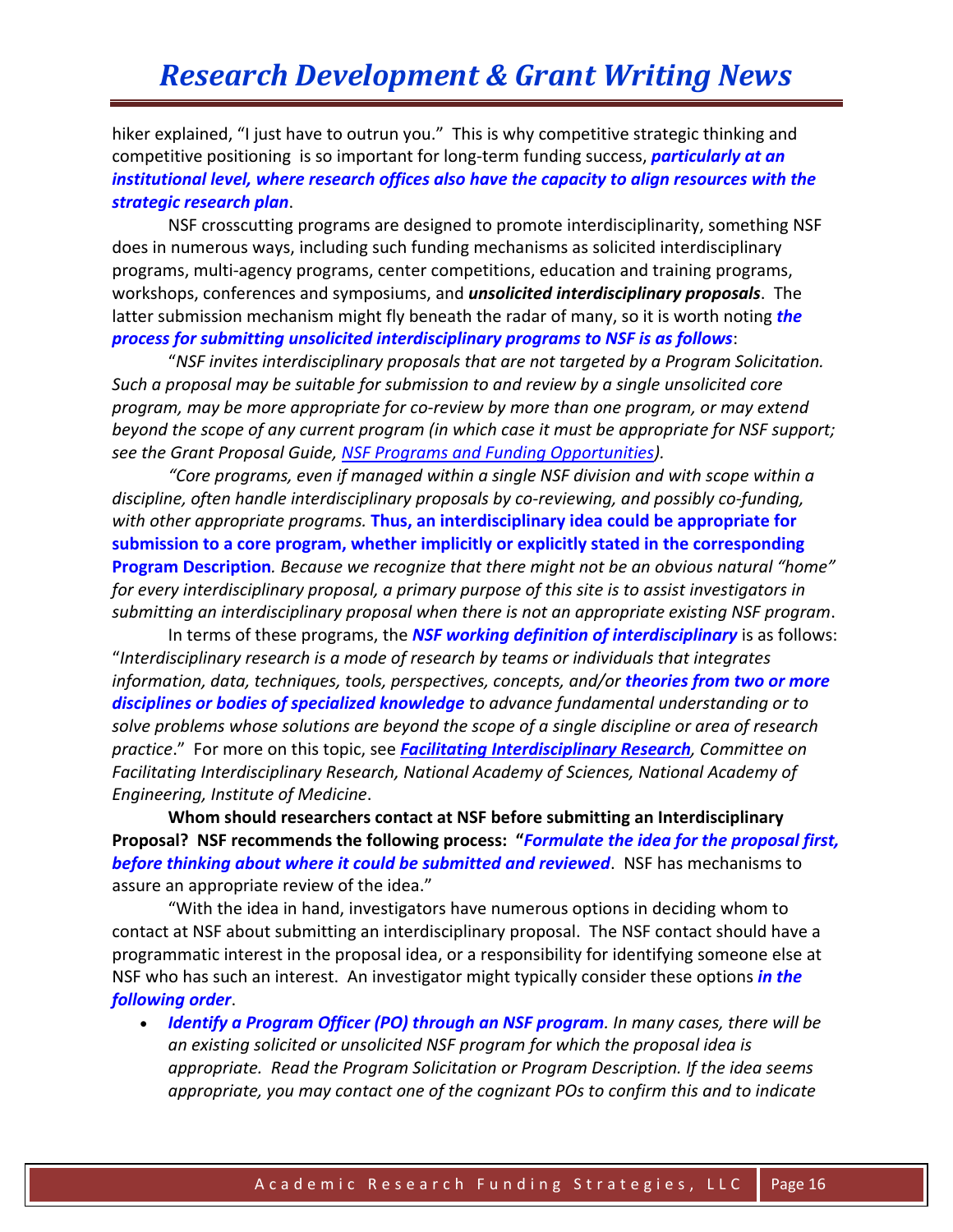# *Research Development & Grant Writing News*

hiker explained, "I just have to outrun you." This is why competitive strategic thinking and competitive positioning is so important for long-term funding success, *particularly at an institutional level, where research offices also have the capacity to align resources with the strategic research plan*.

NSF crosscutting programs are designed to promote interdisciplinarity, something NSF does in numerous ways, including such funding mechanisms as solicited interdisciplinary programs, multi-agency programs, center competitions, education and training programs, workshops, conferences and symposiums, and *unsolicited interdisciplinary proposals*. The latter submission mechanism might fly beneath the radar of many, so it is worth noting *the process for submitting unsolicited interdisciplinary programs to NSF is as follows*:

"*NSF invites interdisciplinary proposals that are not targeted by a Program Solicitation. Such a proposal may be suitable for submission to and review by a single unsolicited core program, may be more appropriate for co-review by more than one program, or may extend beyond the scope of any current program (in which case it must be appropriate for NSF support; see the Grant Proposal Guide, [NSF Programs and Funding Opportunities\)](http://www.nsf.gov/pubs/policydocs/pappguide/nsf11001/gpg_1.jsp#IB).* 

*"Core programs, even if managed within a single NSF division and with scope within a discipline, often handle interdisciplinary proposals by co-reviewing, and possibly co-funding, with other appropriate programs.* **Thus, an interdisciplinary idea could be appropriate for submission to a core program, whether implicitly or explicitly stated in the corresponding Program Description***. Because we recognize that there might not be an obvious natural "home" for every interdisciplinary proposal, a primary purpose of this site is to assist investigators in submitting an interdisciplinary proposal when there is not an appropriate existing NSF program*.

In terms of these programs, the *NSF working definition of interdisciplinary* is as follows: "*Interdisciplinary research is a mode of research by teams or individuals that integrates information, data, techniques, tools, perspectives, concepts, and/or theories from two or more disciplines or bodies of specialized knowledge to advance fundamental understanding or to solve problems whose solutions are beyond the scope of a single discipline or area of research practice*." For more on this topic, see *[Facilitating Interdisciplinary Research](http://www.nordp.org/assets/resources-docs/facilitating_interdisc_research.pdf), Committee on Facilitating Interdisciplinary Research, National Academy of Sciences, National Academy of Engineering, Institute of Medicine*.

**Whom should researchers contact at NSF before submitting an Interdisciplinary Proposal? NSF recommends the following process: "***Formulate the idea for the proposal first, before thinking about where it could be submitted and reviewed*. NSF has mechanisms to assure an appropriate review of the idea."

"With the idea in hand, investigators have numerous options in deciding whom to contact at NSF about submitting an interdisciplinary proposal. The NSF contact should have a programmatic interest in the proposal idea, or a responsibility for identifying someone else at NSF who has such an interest. An investigator might typically consider these options *in the following order*.

 *Identify a Program Officer (PO) through an NSF program. In many cases, there will be an existing solicited or unsolicited NSF program for which the proposal idea is appropriate. Read the Program Solicitation or Program Description. If the idea seems appropriate, you may contact one of the cognizant POs to confirm this and to indicate*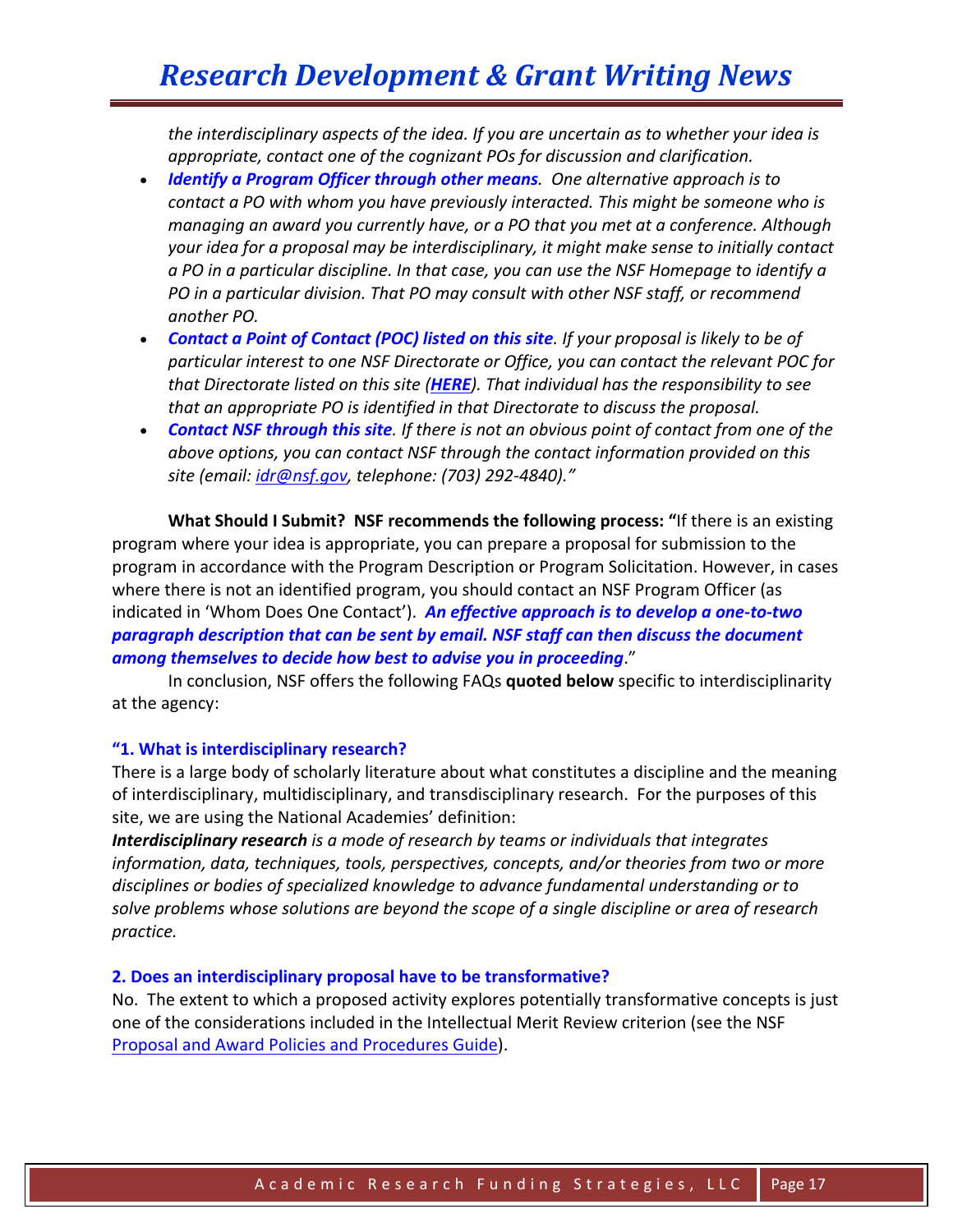*the interdisciplinary aspects of the idea. If you are uncertain as to whether your idea is appropriate, contact one of the cognizant POs for discussion and clarification.*

- *Identify a Program Officer through other means. One alternative approach is to contact a PO with whom you have previously interacted. This might be someone who is managing an award you currently have, or a PO that you met at a conference. Although your idea for a proposal may be interdisciplinary, it might make sense to initially contact a PO in a particular discipline. In that case, you can use the NSF Homepage to identify a PO in a particular division. That PO may consult with other NSF staff, or recommend another PO.*
- *Contact a Point of Contact (POC) listed on this site. If your proposal is likely to be of particular interest to one NSF Directorate or Office, you can contact the relevant POC for that Directorate listed on this site ([HERE](http://www.nsf.gov/od/iia/additional_resources/interdisciplinary_research/poc.jsp)). That individual has the responsibility to see that an appropriate PO is identified in that Directorate to discuss the proposal.*
- *Contact NSF through this site. If there is not an obvious point of contact from one of the above options, you can contact NSF through the contact information provided on this site (email: [idr@nsf.gov,](mailto:idr@nsf.gov) telephone: (703) 292-4840)."*

**What Should I Submit? NSF recommends the following process: "**If there is an existing program where your idea is appropriate, you can prepare a proposal for submission to the program in accordance with the Program Description or Program Solicitation. However, in cases where there is not an identified program, you should contact an NSF Program Officer (as indicated in 'Whom Does One Contact'). *An effective approach is to develop a one-to-two paragraph description that can be sent by email. NSF staff can then discuss the document among themselves to decide how best to advise you in proceeding*."

In conclusion, NSF offers the following FAQs **quoted below** specific to interdisciplinarity at the agency:

#### **"1. What is interdisciplinary research?**

There is a large body of scholarly literature about what constitutes a discipline and the meaning of interdisciplinary, multidisciplinary, and transdisciplinary research. For the purposes of this site, we are using the National Academies' definition:

*Interdisciplinary research is a mode of research by teams or individuals that integrates information, data, techniques, tools, perspectives, concepts, and/or theories from two or more disciplines or bodies of specialized knowledge to advance fundamental understanding or to solve problems whose solutions are beyond the scope of a single discipline or area of research practice.*

#### **2. Does an interdisciplinary proposal have to be transformative?**

No. The extent to which a proposed activity explores potentially transformative concepts is just one of the considerations included in the Intellectual Merit Review criterion (see the NSF [Proposal and Award Policies and Procedures Guide\)](http://www.nsf.gov/pubs/policydocs/pappguide/nsf09_1/gpg_3.jsp#IIIA).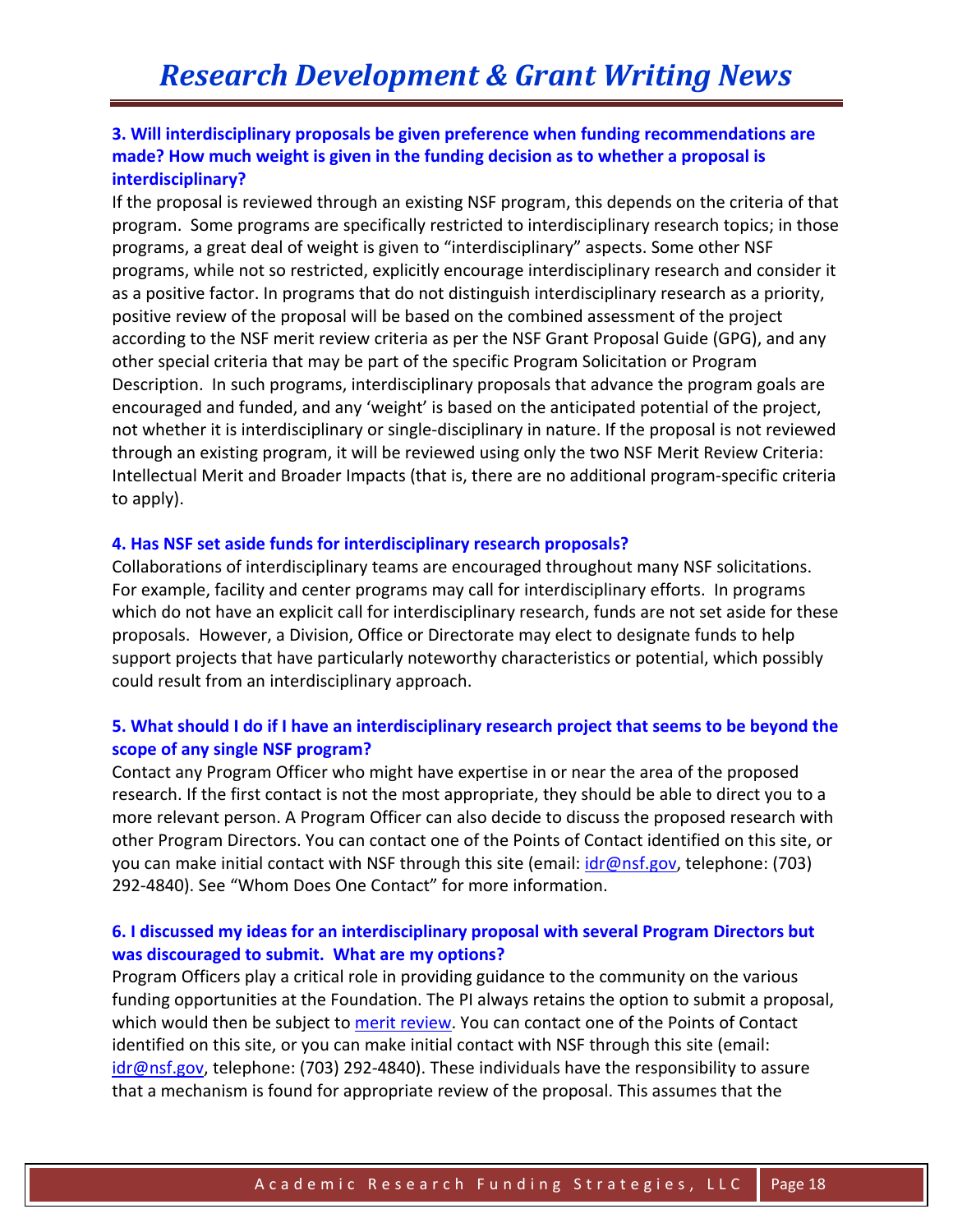# **3. Will interdisciplinary proposals be given preference when funding recommendations are made? How much weight is given in the funding decision as to whether a proposal is interdisciplinary?**

If the proposal is reviewed through an existing NSF program, this depends on the criteria of that program. Some programs are specifically restricted to interdisciplinary research topics; in those programs, a great deal of weight is given to "interdisciplinary" aspects. Some other NSF programs, while not so restricted, explicitly encourage interdisciplinary research and consider it as a positive factor. In programs that do not distinguish interdisciplinary research as a priority, positive review of the proposal will be based on the combined assessment of the project according to the NSF merit review criteria as per the NSF Grant Proposal Guide (GPG), and any other special criteria that may be part of the specific Program Solicitation or Program Description. In such programs, interdisciplinary proposals that advance the program goals are encouraged and funded, and any 'weight' is based on the anticipated potential of the project, not whether it is interdisciplinary or single-disciplinary in nature. If the proposal is not reviewed through an existing program, it will be reviewed using only the two NSF Merit Review Criteria: Intellectual Merit and Broader Impacts (that is, there are no additional program-specific criteria to apply).

#### **4. Has NSF set aside funds for interdisciplinary research proposals?**

Collaborations of interdisciplinary teams are encouraged throughout many NSF solicitations. For example, facility and center programs may call for interdisciplinary efforts. In programs which do not have an explicit call for interdisciplinary research, funds are not set aside for these proposals. However, a Division, Office or Directorate may elect to designate funds to help support projects that have particularly noteworthy characteristics or potential, which possibly could result from an interdisciplinary approach.

# **5. What should I do if I have an interdisciplinary research project that seems to be beyond the scope of any single NSF program?**

Contact any Program Officer who might have expertise in or near the area of the proposed research. If the first contact is not the most appropriate, they should be able to direct you to a more relevant person. A Program Officer can also decide to discuss the proposed research with other Program Directors. You can contact one of the Points of Contact identified on this site, or you can make initial contact with NSF through this site (email: *idr@nsf.gov*, telephone: (703) 292-4840). See "Whom Does One Contact" for more information.

# **6. I discussed my ideas for an interdisciplinary proposal with several Program Directors but was discouraged to submit. What are my options?**

Program Officers play a critical role in providing guidance to the community on the various funding opportunities at the Foundation. The PI always retains the option to submit a proposal, which would then be subject to [merit review.](http://www.nsf.gov/pubs/policydocs/pappguide/nsf09_1/nsf091.pdf) You can contact one of the Points of Contact identified on this site, or you can make initial contact with NSF through this site (email:  $idr@nsf.gov$ , telephone: (703) 292-4840). These individuals have the responsibility to assure that a mechanism is found for appropriate review of the proposal. This assumes that the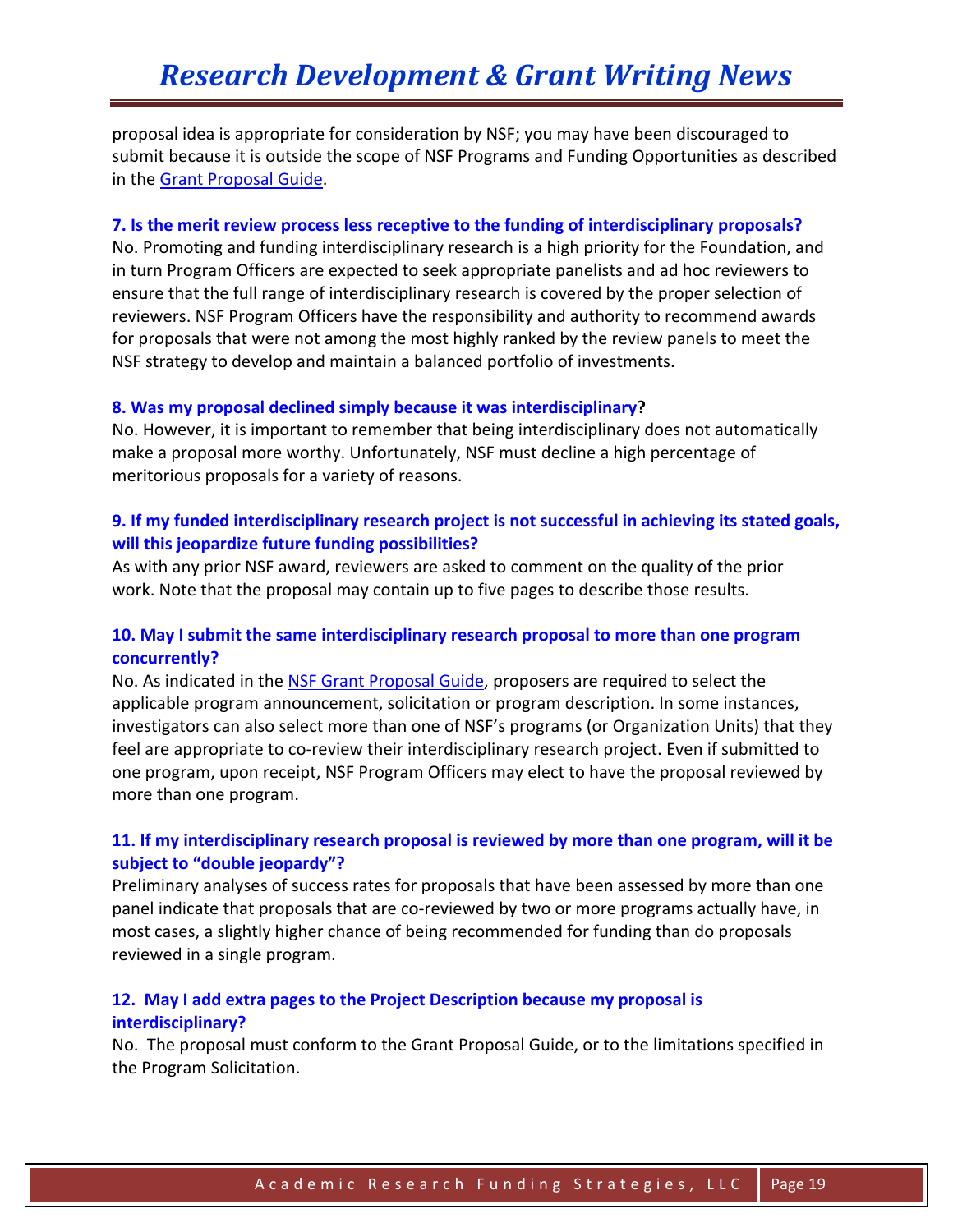proposal idea is appropriate for consideration by NSF; you may have been discouraged to submit because it is outside the scope of NSF Programs and Funding Opportunities as described in the [Grant Proposal Guide.](http://www.nsf.gov/pubs/policydocs/pappguide/nsf10_1/gpg_1.jsp#IB)

#### **7. Is the merit review process less receptive to the funding of interdisciplinary proposals?**

No. Promoting and funding interdisciplinary research is a high priority for the Foundation, and in turn Program Officers are expected to seek appropriate panelists and ad hoc reviewers to ensure that the full range of interdisciplinary research is covered by the proper selection of reviewers. NSF Program Officers have the responsibility and authority to recommend awards for proposals that were not among the most highly ranked by the review panels to meet the NSF strategy to develop and maintain a balanced portfolio of investments.

#### **8. Was my proposal declined simply because it was interdisciplinary?**

No. However, it is important to remember that being interdisciplinary does not automatically make a proposal more worthy. Unfortunately, NSF must decline a high percentage of meritorious proposals for a variety of reasons.

# **9. If my funded interdisciplinary research project is not successful in achieving its stated goals, will this jeopardize future funding possibilities?**

As with any prior NSF award, reviewers are asked to comment on the quality of the prior work. Note that the proposal may contain up to five pages to describe those results.

# **10. May I submit the same interdisciplinary research proposal to more than one program concurrently?**

No. As indicated in the [NSF Grant Proposal Guide,](http://www.nsf.gov/pubs/policydocs/pappguide/nsf09_1/nsf091.pdf) proposers are required to select the applicable program announcement, solicitation or program description. In some instances, investigators can also select more than one of NSF's programs (or Organization Units) that they feel are appropriate to co-review their interdisciplinary research project. Even if submitted to one program, upon receipt, NSF Program Officers may elect to have the proposal reviewed by more than one program.

# **11. If my interdisciplinary research proposal is reviewed by more than one program, will it be subject to "double jeopardy"?**

Preliminary analyses of success rates for proposals that have been assessed by more than one panel indicate that proposals that are co-reviewed by two or more programs actually have, in most cases, a slightly higher chance of being recommended for funding than do proposals reviewed in a single program.

# **12. May I add extra pages to the Project Description because my proposal is interdisciplinary?**

No. The proposal must conform to the Grant Proposal Guide, or to the limitations specified in the Program Solicitation.